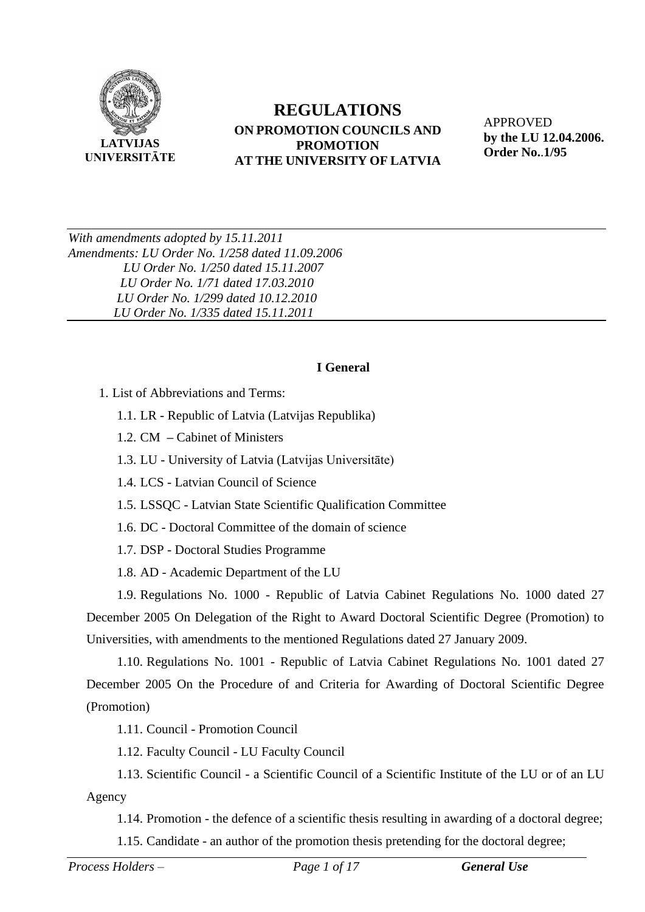

#### **REGULATIONS ON PROMOTION COUNCILS AND PROMOTION AT THE UNIVERSITY OF LATVIA**

APPROVED **by the LU 12.04.2006. Order No.**.**1/95** 

*With amendments adopted by 15.11.2011 Amendments: LU Order No. 1/258 dated 11.09.2006 LU Order No. 1/250 dated 15.11.2007 LU Order No. 1/71 dated 17.03.2010 LU Order No. 1/299 dated 10.12.2010 LU Order No. 1/335 dated 15.11.2011*

#### **I General**

1. List of Abbreviations and Terms:

1.1. LR - Republic of Latvia (Latvijas Republika)

1.2. CM **–** Cabinet of Ministers

1.3. LU - University of Latvia (Latvijas Universitāte)

1.4. LCS - Latvian Council of Science

1.5. LSSQC - Latvian State Scientific Qualification Committee

1.6. DC - Doctoral Committee of the domain of science

1.7. DSP - Doctoral Studies Programme

1.8. AD - Academic Department of the LU

1.9. Regulations No. 1000 - Republic of Latvia Cabinet Regulations No. 1000 dated 27 December 2005 On Delegation of the Right to Award Doctoral Scientific Degree (Promotion) to Universities, with amendments to the mentioned Regulations dated 27 January 2009.

1.10. Regulations No. 1001 - Republic of Latvia Cabinet Regulations No. 1001 dated 27 December 2005 On the Procedure of and Criteria for Awarding of Doctoral Scientific Degree (Promotion)

1.11. Council - Promotion Council

1.12. Faculty Council - LU Faculty Council

1.13. Scientific Council - a Scientific Council of a Scientific Institute of the LU or of an LU Agency

1.14. Promotion - the defence of a scientific thesis resulting in awarding of a doctoral degree;

1.15. Candidate - an author of the promotion thesis pretending for the doctoral degree;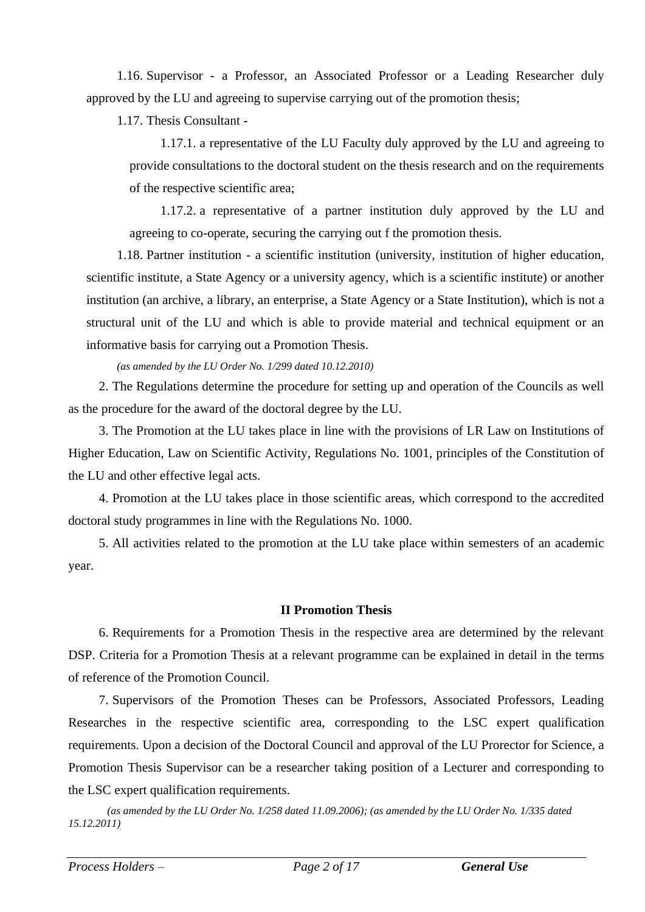1.16. Supervisor - a Professor, an Associated Professor or a Leading Researcher duly approved by the LU and agreeing to supervise carrying out of the promotion thesis;

1.17. Thesis Consultant -

1.17.1. a representative of the LU Faculty duly approved by the LU and agreeing to provide consultations to the doctoral student on the thesis research and on the requirements of the respective scientific area;

1.17.2. a representative of a partner institution duly approved by the LU and agreeing to co-operate, securing the carrying out f the promotion thesis.

1.18. Partner institution - a scientific institution (university, institution of higher education, scientific institute, a State Agency or a university agency, which is a scientific institute) or another institution (an archive, a library, an enterprise, a State Agency or a State Institution), which is not a structural unit of the LU and which is able to provide material and technical equipment or an informative basis for carrying out a Promotion Thesis.

*(as amended by the LU Order No. 1/299 dated 10.12.2010)*

2. The Regulations determine the procedure for setting up and operation of the Councils as well as the procedure for the award of the doctoral degree by the LU.

3. The Promotion at the LU takes place in line with the provisions of LR Law on Institutions of Higher Education, Law on Scientific Activity, Regulations No. 1001, principles of the Constitution of the LU and other effective legal acts.

4. Promotion at the LU takes place in those scientific areas, which correspond to the accredited doctoral study programmes in line with the Regulations No. 1000.

5. All activities related to the promotion at the LU take place within semesters of an academic year.

#### **II Promotion Thesis**

6. Requirements for a Promotion Thesis in the respective area are determined by the relevant DSP. Criteria for a Promotion Thesis at a relevant programme can be explained in detail in the terms of reference of the Promotion Council.

7. Supervisors of the Promotion Theses can be Professors, Associated Professors, Leading Researches in the respective scientific area, corresponding to the LSC expert qualification requirements. Upon a decision of the Doctoral Council and approval of the LU Prorector for Science, a Promotion Thesis Supervisor can be a researcher taking position of a Lecturer and corresponding to the LSC expert qualification requirements.

*(as amended by the LU Order No. 1/258 dated 11.09.2006); (as amended by the LU Order No. 1/335 dated 15.12.2011)*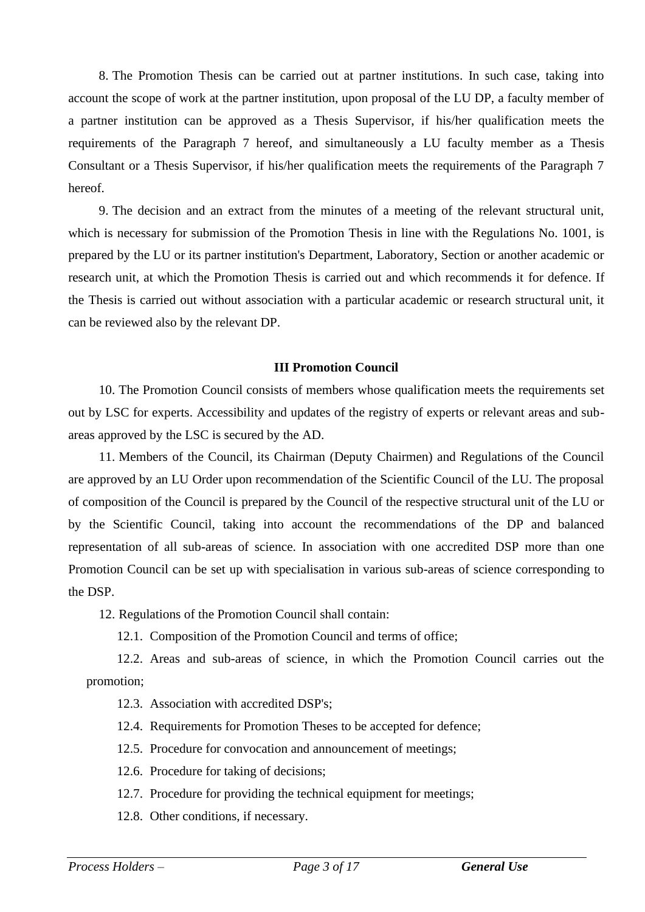8. The Promotion Thesis can be carried out at partner institutions. In such case, taking into account the scope of work at the partner institution, upon proposal of the LU DP, a faculty member of a partner institution can be approved as a Thesis Supervisor, if his/her qualification meets the requirements of the Paragraph 7 hereof, and simultaneously a LU faculty member as a Thesis Consultant or a Thesis Supervisor, if his/her qualification meets the requirements of the Paragraph 7 hereof.

9. The decision and an extract from the minutes of a meeting of the relevant structural unit, which is necessary for submission of the Promotion Thesis in line with the Regulations No. 1001, is prepared by the LU or its partner institution's Department, Laboratory, Section or another academic or research unit, at which the Promotion Thesis is carried out and which recommends it for defence. If the Thesis is carried out without association with a particular academic or research structural unit, it can be reviewed also by the relevant DP.

#### **III Promotion Council**

10. The Promotion Council consists of members whose qualification meets the requirements set out by LSC for experts. Accessibility and updates of the registry of experts or relevant areas and subareas approved by the LSC is secured by the AD.

11. Members of the Council, its Chairman (Deputy Chairmen) and Regulations of the Council are approved by an LU Order upon recommendation of the Scientific Council of the LU. The proposal of composition of the Council is prepared by the Council of the respective structural unit of the LU or by the Scientific Council, taking into account the recommendations of the DP and balanced representation of all sub-areas of science. In association with one accredited DSP more than one Promotion Council can be set up with specialisation in various sub-areas of science corresponding to the DSP.

12. Regulations of the Promotion Council shall contain:

12.1. Composition of the Promotion Council and terms of office;

12.2. Areas and sub-areas of science, in which the Promotion Council carries out the promotion;

12.3. Association with accredited DSP's;

- 12.4. Requirements for Promotion Theses to be accepted for defence;
- 12.5. Procedure for convocation and announcement of meetings;
- 12.6. Procedure for taking of decisions;
- 12.7. Procedure for providing the technical equipment for meetings;
- 12.8. Other conditions, if necessary.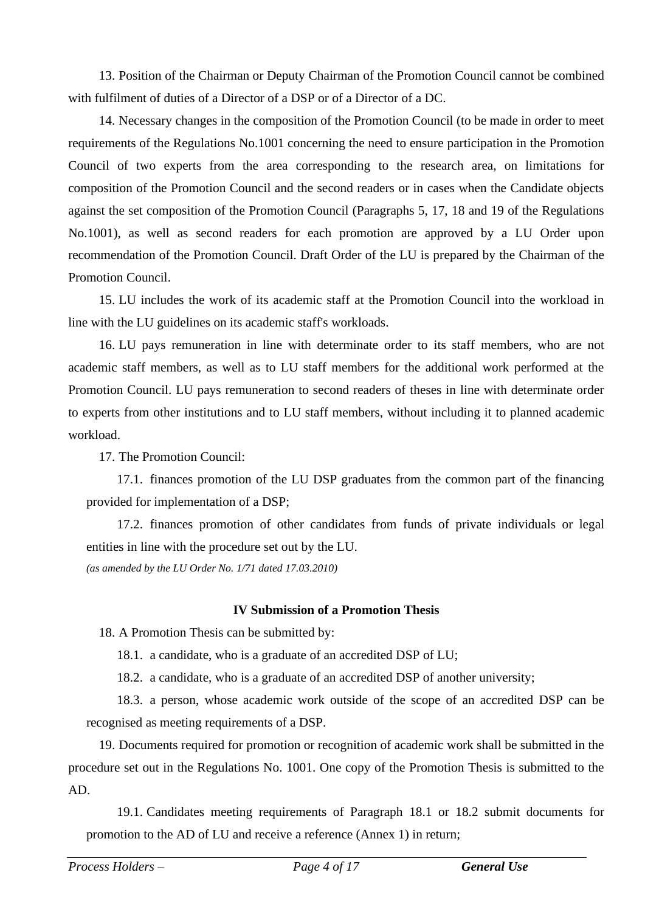13. Position of the Chairman or Deputy Chairman of the Promotion Council cannot be combined with fulfilment of duties of a Director of a DSP or of a Director of a DC.

14. Necessary changes in the composition of the Promotion Council (to be made in order to meet requirements of the Regulations No.1001 concerning the need to ensure participation in the Promotion Council of two experts from the area corresponding to the research area, on limitations for composition of the Promotion Council and the second readers or in cases when the Candidate objects against the set composition of the Promotion Council (Paragraphs 5, 17, 18 and 19 of the Regulations No.1001), as well as second readers for each promotion are approved by a LU Order upon recommendation of the Promotion Council. Draft Order of the LU is prepared by the Chairman of the Promotion Council.

15. LU includes the work of its academic staff at the Promotion Council into the workload in line with the LU guidelines on its academic staff's workloads.

16. LU pays remuneration in line with determinate order to its staff members, who are not academic staff members, as well as to LU staff members for the additional work performed at the Promotion Council. LU pays remuneration to second readers of theses in line with determinate order to experts from other institutions and to LU staff members, without including it to planned academic workload.

17. The Promotion Council:

17.1. finances promotion of the LU DSP graduates from the common part of the financing provided for implementation of a DSP;

17.2. finances promotion of other candidates from funds of private individuals or legal entities in line with the procedure set out by the LU. *(as amended by the LU Order No. 1/71 dated 17.03.2010)*

#### **IV Submission of a Promotion Thesis**

18. A Promotion Thesis can be submitted by:

18.1. a candidate, who is a graduate of an accredited DSP of LU;

18.2. a candidate, who is a graduate of an accredited DSP of another university;

18.3. a person, whose academic work outside of the scope of an accredited DSP can be recognised as meeting requirements of a DSP.

19. Documents required for promotion or recognition of academic work shall be submitted in the procedure set out in the Regulations No. 1001. One copy of the Promotion Thesis is submitted to the AD.

19.1. Candidates meeting requirements of Paragraph 18.1 or 18.2 submit documents for promotion to the AD of LU and receive a reference (Annex 1) in return;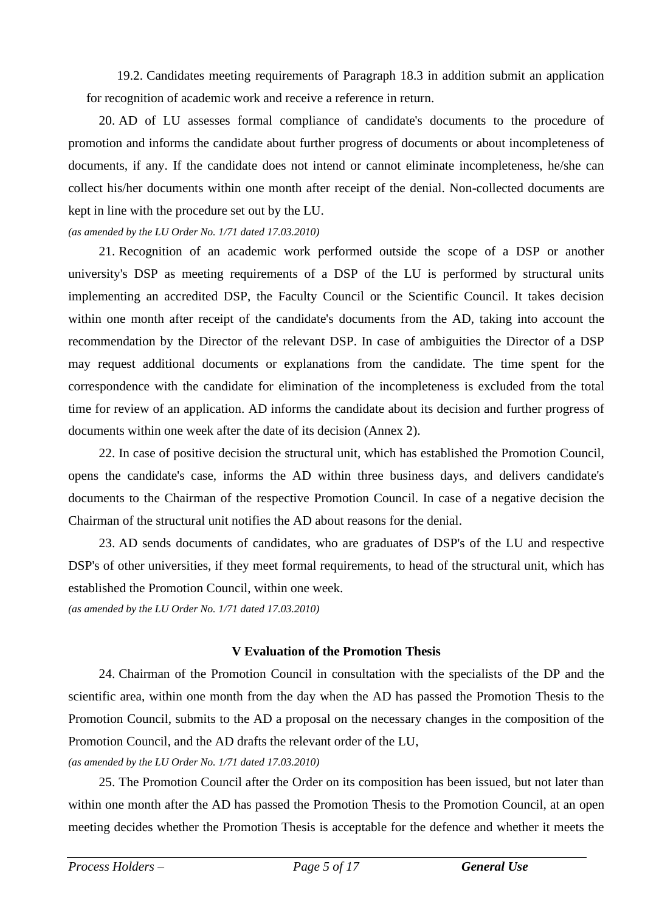19.2. Candidates meeting requirements of Paragraph 18.3 in addition submit an application for recognition of academic work and receive a reference in return.

20. AD of LU assesses formal compliance of candidate's documents to the procedure of promotion and informs the candidate about further progress of documents or about incompleteness of documents, if any. If the candidate does not intend or cannot eliminate incompleteness, he/she can collect his/her documents within one month after receipt of the denial. Non-collected documents are kept in line with the procedure set out by the LU.

*(as amended by the LU Order No. 1/71 dated 17.03.2010)*

21. Recognition of an academic work performed outside the scope of a DSP or another university's DSP as meeting requirements of a DSP of the LU is performed by structural units implementing an accredited DSP, the Faculty Council or the Scientific Council. It takes decision within one month after receipt of the candidate's documents from the AD, taking into account the recommendation by the Director of the relevant DSP. In case of ambiguities the Director of a DSP may request additional documents or explanations from the candidate. The time spent for the correspondence with the candidate for elimination of the incompleteness is excluded from the total time for review of an application. AD informs the candidate about its decision and further progress of documents within one week after the date of its decision (Annex 2).

22. In case of positive decision the structural unit, which has established the Promotion Council, opens the candidate's case, informs the AD within three business days, and delivers candidate's documents to the Chairman of the respective Promotion Council. In case of a negative decision the Chairman of the structural unit notifies the AD about reasons for the denial.

23. AD sends documents of candidates, who are graduates of DSP's of the LU and respective DSP's of other universities, if they meet formal requirements, to head of the structural unit, which has established the Promotion Council, within one week.

*(as amended by the LU Order No. 1/71 dated 17.03.2010)*

#### **V Evaluation of the Promotion Thesis**

24. Chairman of the Promotion Council in consultation with the specialists of the DP and the scientific area, within one month from the day when the AD has passed the Promotion Thesis to the Promotion Council, submits to the AD a proposal on the necessary changes in the composition of the Promotion Council, and the AD drafts the relevant order of the LU,

*(as amended by the LU Order No. 1/71 dated 17.03.2010)*

25. The Promotion Council after the Order on its composition has been issued, but not later than within one month after the AD has passed the Promotion Thesis to the Promotion Council, at an open meeting decides whether the Promotion Thesis is acceptable for the defence and whether it meets the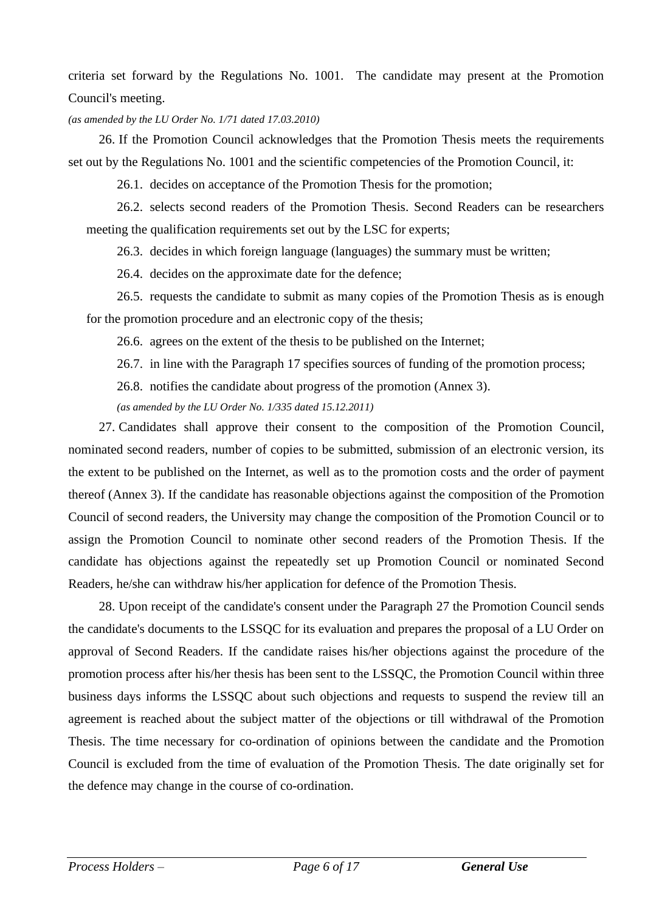criteria set forward by the Regulations No. 1001. The candidate may present at the Promotion Council's meeting.

#### *(as amended by the LU Order No. 1/71 dated 17.03.2010)*

26. If the Promotion Council acknowledges that the Promotion Thesis meets the requirements set out by the Regulations No. 1001 and the scientific competencies of the Promotion Council, it:

26.1. decides on acceptance of the Promotion Thesis for the promotion;

26.2. selects second readers of the Promotion Thesis. Second Readers can be researchers meeting the qualification requirements set out by the LSC for experts;

26.3. decides in which foreign language (languages) the summary must be written;

26.4. decides on the approximate date for the defence;

26.5. requests the candidate to submit as many copies of the Promotion Thesis as is enough for the promotion procedure and an electronic copy of the thesis;

26.6. agrees on the extent of the thesis to be published on the Internet;

26.7. in line with the Paragraph 17 specifies sources of funding of the promotion process;

26.8. notifies the candidate about progress of the promotion (Annex 3).

*(as amended by the LU Order No. 1/335 dated 15.12.2011)*

27. Candidates shall approve their consent to the composition of the Promotion Council, nominated second readers, number of copies to be submitted, submission of an electronic version, its the extent to be published on the Internet, as well as to the promotion costs and the order of payment thereof (Annex 3). If the candidate has reasonable objections against the composition of the Promotion Council of second readers, the University may change the composition of the Promotion Council or to assign the Promotion Council to nominate other second readers of the Promotion Thesis. If the candidate has objections against the repeatedly set up Promotion Council or nominated Second Readers, he/she can withdraw his/her application for defence of the Promotion Thesis.

28. Upon receipt of the candidate's consent under the Paragraph 27 the Promotion Council sends the candidate's documents to the LSSQC for its evaluation and prepares the proposal of a LU Order on approval of Second Readers. If the candidate raises his/her objections against the procedure of the promotion process after his/her thesis has been sent to the LSSQC, the Promotion Council within three business days informs the LSSQC about such objections and requests to suspend the review till an agreement is reached about the subject matter of the objections or till withdrawal of the Promotion Thesis. The time necessary for co-ordination of opinions between the candidate and the Promotion Council is excluded from the time of evaluation of the Promotion Thesis. The date originally set for the defence may change in the course of co-ordination.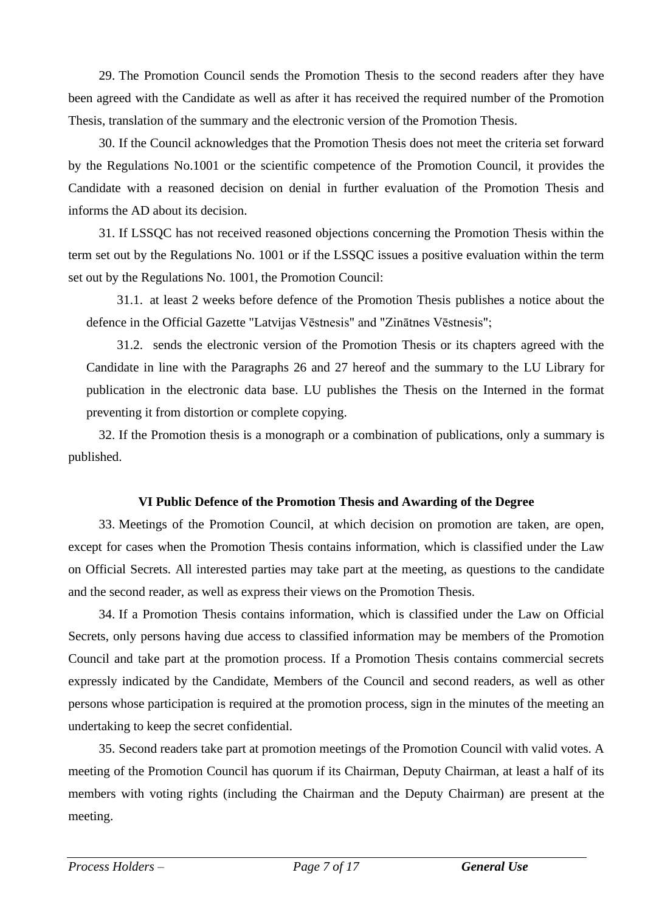29. The Promotion Council sends the Promotion Thesis to the second readers after they have been agreed with the Candidate as well as after it has received the required number of the Promotion Thesis, translation of the summary and the electronic version of the Promotion Thesis.

30. If the Council acknowledges that the Promotion Thesis does not meet the criteria set forward by the Regulations No.1001 or the scientific competence of the Promotion Council, it provides the Candidate with a reasoned decision on denial in further evaluation of the Promotion Thesis and informs the AD about its decision.

31. If LSSQC has not received reasoned objections concerning the Promotion Thesis within the term set out by the Regulations No. 1001 or if the LSSQC issues a positive evaluation within the term set out by the Regulations No. 1001, the Promotion Council:

31.1. at least 2 weeks before defence of the Promotion Thesis publishes a notice about the defence in the Official Gazette "Latvijas Vēstnesis" and "Zinātnes Vēstnesis";

31.2. sends the electronic version of the Promotion Thesis or its chapters agreed with the Candidate in line with the Paragraphs 26 and 27 hereof and the summary to the LU Library for publication in the electronic data base. LU publishes the Thesis on the Interned in the format preventing it from distortion or complete copying.

32. If the Promotion thesis is a monograph or a combination of publications, only a summary is published.

#### **VI Public Defence of the Promotion Thesis and Awarding of the Degree**

33. Meetings of the Promotion Council, at which decision on promotion are taken, are open, except for cases when the Promotion Thesis contains information, which is classified under the Law on Official Secrets. All interested parties may take part at the meeting, as questions to the candidate and the second reader, as well as express their views on the Promotion Thesis.

34. If a Promotion Thesis contains information, which is classified under the Law on Official Secrets, only persons having due access to classified information may be members of the Promotion Council and take part at the promotion process. If a Promotion Thesis contains commercial secrets expressly indicated by the Candidate, Members of the Council and second readers, as well as other persons whose participation is required at the promotion process, sign in the minutes of the meeting an undertaking to keep the secret confidential.

35. Second readers take part at promotion meetings of the Promotion Council with valid votes. A meeting of the Promotion Council has quorum if its Chairman, Deputy Chairman, at least a half of its members with voting rights (including the Chairman and the Deputy Chairman) are present at the meeting.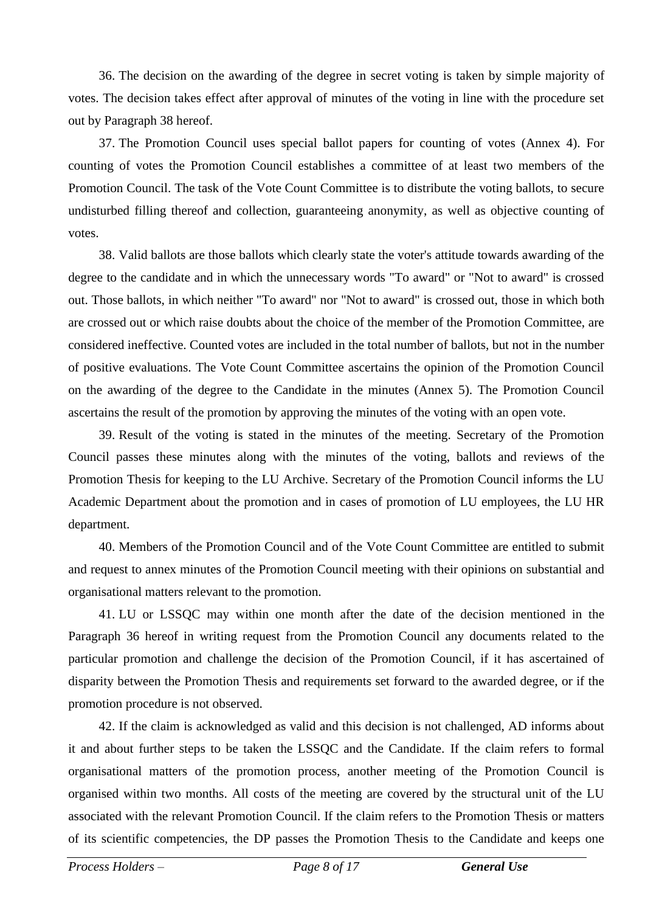36. The decision on the awarding of the degree in secret voting is taken by simple majority of votes. The decision takes effect after approval of minutes of the voting in line with the procedure set out by Paragraph 38 hereof.

37. The Promotion Council uses special ballot papers for counting of votes (Annex 4). For counting of votes the Promotion Council establishes a committee of at least two members of the Promotion Council. The task of the Vote Count Committee is to distribute the voting ballots, to secure undisturbed filling thereof and collection, guaranteeing anonymity, as well as objective counting of votes.

38. Valid ballots are those ballots which clearly state the voter's attitude towards awarding of the degree to the candidate and in which the unnecessary words "To award" or "Not to award" is crossed out. Those ballots, in which neither "To award" nor "Not to award" is crossed out, those in which both are crossed out or which raise doubts about the choice of the member of the Promotion Committee, are considered ineffective. Counted votes are included in the total number of ballots, but not in the number of positive evaluations. The Vote Count Committee ascertains the opinion of the Promotion Council on the awarding of the degree to the Candidate in the minutes (Annex 5). The Promotion Council ascertains the result of the promotion by approving the minutes of the voting with an open vote.

39. Result of the voting is stated in the minutes of the meeting. Secretary of the Promotion Council passes these minutes along with the minutes of the voting, ballots and reviews of the Promotion Thesis for keeping to the LU Archive. Secretary of the Promotion Council informs the LU Academic Department about the promotion and in cases of promotion of LU employees, the LU HR department.

40. Members of the Promotion Council and of the Vote Count Committee are entitled to submit and request to annex minutes of the Promotion Council meeting with their opinions on substantial and organisational matters relevant to the promotion.

41. LU or LSSQC may within one month after the date of the decision mentioned in the Paragraph 36 hereof in writing request from the Promotion Council any documents related to the particular promotion and challenge the decision of the Promotion Council, if it has ascertained of disparity between the Promotion Thesis and requirements set forward to the awarded degree, or if the promotion procedure is not observed.

42. If the claim is acknowledged as valid and this decision is not challenged, AD informs about it and about further steps to be taken the LSSQC and the Candidate. If the claim refers to formal organisational matters of the promotion process, another meeting of the Promotion Council is organised within two months. All costs of the meeting are covered by the structural unit of the LU associated with the relevant Promotion Council. If the claim refers to the Promotion Thesis or matters of its scientific competencies, the DP passes the Promotion Thesis to the Candidate and keeps one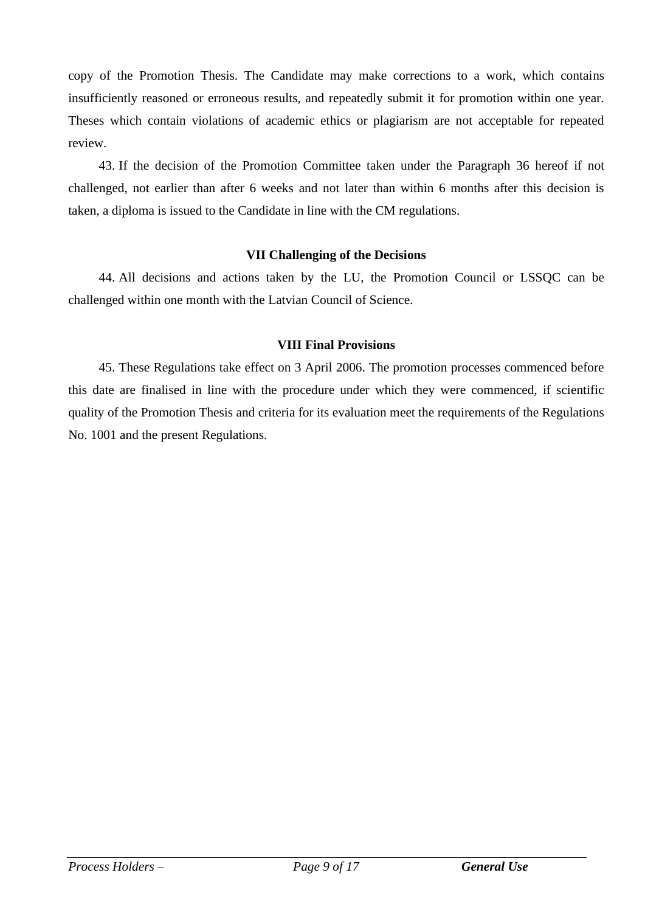copy of the Promotion Thesis. The Candidate may make corrections to a work, which contains insufficiently reasoned or erroneous results, and repeatedly submit it for promotion within one year. Theses which contain violations of academic ethics or plagiarism are not acceptable for repeated review.

43. If the decision of the Promotion Committee taken under the Paragraph 36 hereof if not challenged, not earlier than after 6 weeks and not later than within 6 months after this decision is taken, a diploma is issued to the Candidate in line with the CM regulations.

#### **VII Challenging of the Decisions**

44. All decisions and actions taken by the LU, the Promotion Council or LSSQC can be challenged within one month with the Latvian Council of Science.

#### **VIII Final Provisions**

45. These Regulations take effect on 3 April 2006. The promotion processes commenced before this date are finalised in line with the procedure under which they were commenced, if scientific quality of the Promotion Thesis and criteria for its evaluation meet the requirements of the Regulations No. 1001 and the present Regulations.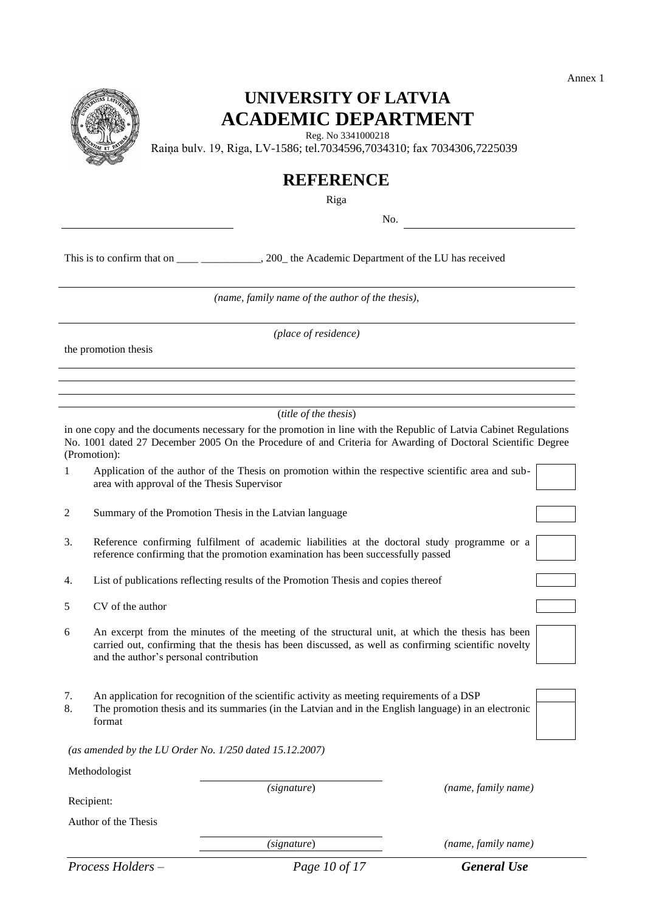

### **UNIVERSITY OF LATVIA ACADEMIC DEPARTMENT**

Reg. No 3341000218

Raiņa bulv. 19, Riga, LV-1586; tel.7034596,7034310; fax 7034306,7225039

### **REFERENCE**

Riga

No.

This is to confirm that on \_\_\_\_ \_\_\_\_\_\_\_\_\_, 200\_ the Academic Department of the LU has received

*(name, family name of the author of the thesis),*

the promotion thesis

*(place of residence)*

(*title of the thesis*)

in one copy and the documents necessary for the promotion in line with the Republic of Latvia Cabinet Regulations No. 1001 dated 27 December 2005 On the Procedure of and Criteria for Awarding of Doctoral Scientific Degree (Promotion):

1 Application of the author of the Thesis on promotion within the respective scientific area and subarea with approval of the Thesis Supervisor

2 Summary of the Promotion Thesis in the Latvian language

- 3. Reference confirming fulfilment of academic liabilities at the doctoral study programme or a reference confirming that the promotion examination has been successfully passed
- 4. List of publications reflecting results of the Promotion Thesis and copies thereof
- 5 CV of the author
- 6 An excerpt from the minutes of the meeting of the structural unit, at which the thesis has been carried out, confirming that the thesis has been discussed, as well as confirming scientific novelty and the author's personal contribution
- 7. An application for recognition of the scientific activity as meeting requirements of a DSP
- 8. The promotion thesis and its summaries (in the Latvian and in the English language) in an electronic format

*(as amended by the LU Order No. 1/250 dated 15.12.2007)*

Methodologist

Recipient:

Author of the Thesis

*(signature*) *(name, family name)*

*(signature*) *(name, family name)*

*Process Holders – Page 10 of 17 General Use*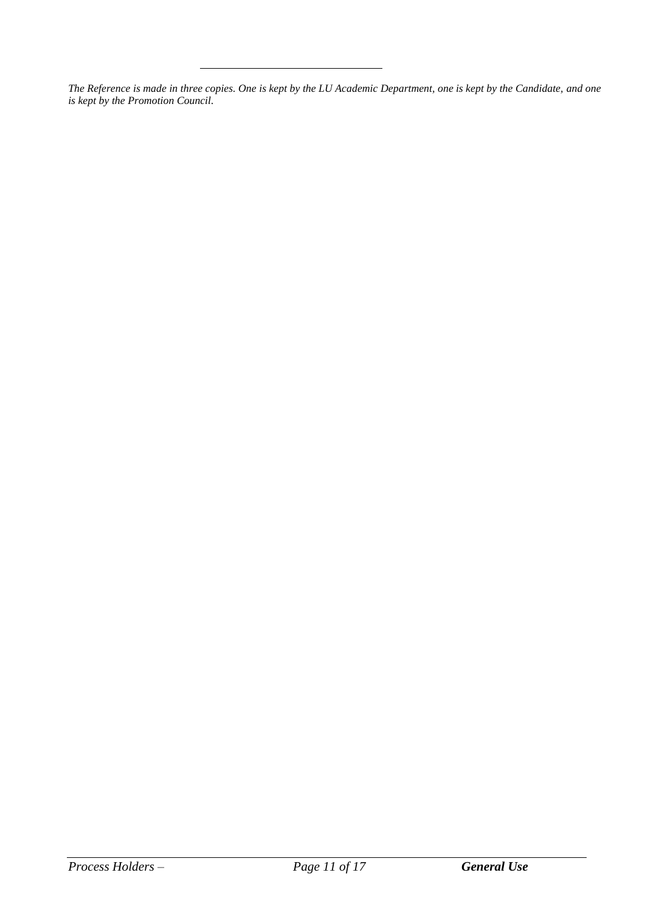*The Reference is made in three copies. One is kept by the LU Academic Department, one is kept by the Candidate, and one is kept by the Promotion Council.*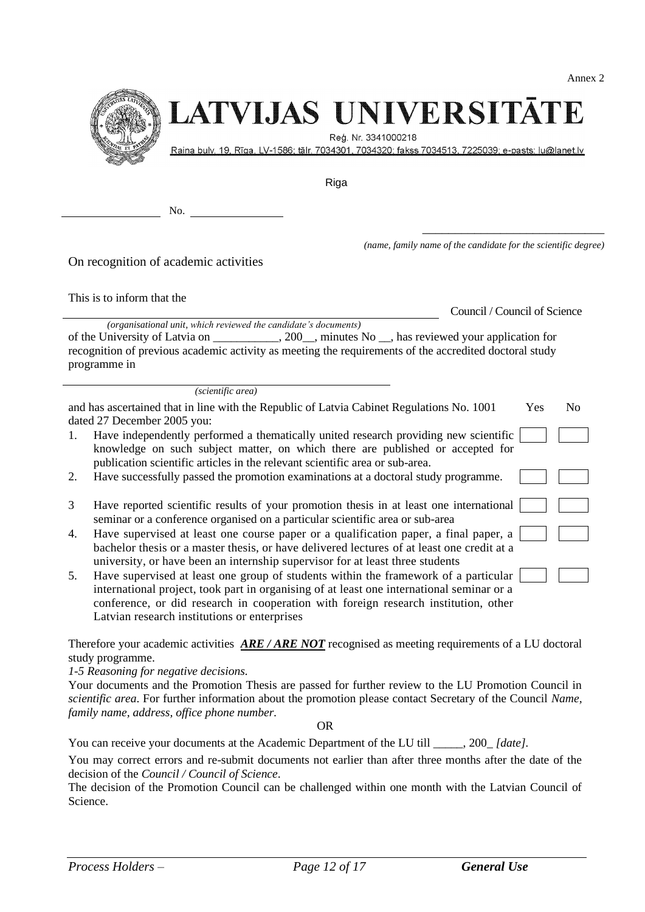

# LATVIJAS UNIVERSITĀTE

Reg. Nr. 3341000218

Raina bulv. 19, Rīga, LV-1586; tālr. 7034301, 7034320; fakss 7034513, 7225039; e-pasts: lu@lanet.lv

Riga

No.

*(name, family name of the candidate for the scientific degree)*

On recognition of academic activities

This is to inform that the

Council / Council of Science

\_\_\_\_\_\_\_\_\_\_\_\_\_\_\_\_\_\_\_\_\_\_\_\_\_\_\_\_

*(organisational unit, which reviewed the candidate's documents)* of the University of Latvia on \_\_\_\_\_\_\_\_\_\_\_, 200\_\_, minutes No \_\_, has reviewed your application for recognition of previous academic activity as meeting the requirements of the accredited doctoral study programme in

*(scientific area)*

|    | and has ascertained that in line with the Republic of Latvia Cabinet Regulations No. 1001<br>dated 27 December 2005 you:                                                                                                                                                                                                | Yes | N <sub>0</sub> |
|----|-------------------------------------------------------------------------------------------------------------------------------------------------------------------------------------------------------------------------------------------------------------------------------------------------------------------------|-----|----------------|
| 1. | Have independently performed a thematically united research providing new scientific<br>knowledge on such subject matter, on which there are published or accepted for<br>publication scientific articles in the relevant scientific area or sub-area.                                                                  |     |                |
| 2. | Have successfully passed the promotion examinations at a doctoral study programme.                                                                                                                                                                                                                                      |     |                |
| 3  | Have reported scientific results of your promotion thesis in at least one international<br>seminar or a conference organised on a particular scientific area or sub-area                                                                                                                                                |     |                |
| 4. | Have supervised at least one course paper or a qualification paper, a final paper, a<br>bachelor thesis or a master thesis, or have delivered lectures of at least one credit at a<br>university, or have been an internship supervisor for at least three students                                                     |     |                |
| 5. | Have supervised at least one group of students within the framework of a particular<br>international project, took part in organising of at least one international seminar or a<br>conference, or did research in cooperation with foreign research institution, other<br>Latvian research institutions or enterprises |     |                |

Therefore your academic activities *ARE / ARE NOT* recognised as meeting requirements of a LU doctoral study programme.

*1-5 Reasoning for negative decisions.*

Your documents and the Promotion Thesis are passed for further review to the LU Promotion Council in *scientific area*. For further information about the promotion please contact Secretary of the Council *Name, family name, address, office phone number.*

OR

You can receive your documents at the Academic Department of the LU till \_\_\_\_\_, 200\_ *[date].*

You may correct errors and re-submit documents not earlier than after three months after the date of the decision of the *Council / Council of Science*.

The decision of the Promotion Council can be challenged within one month with the Latvian Council of Science.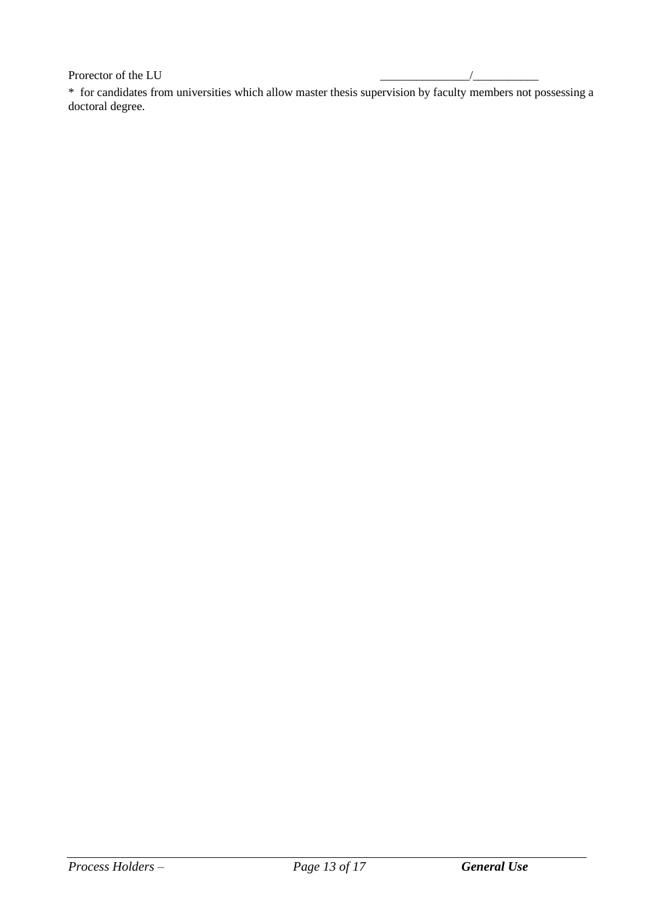Prorector of the LU

\* for candidates from universities which allow master thesis supervision by faculty members not possessing a doctoral degree.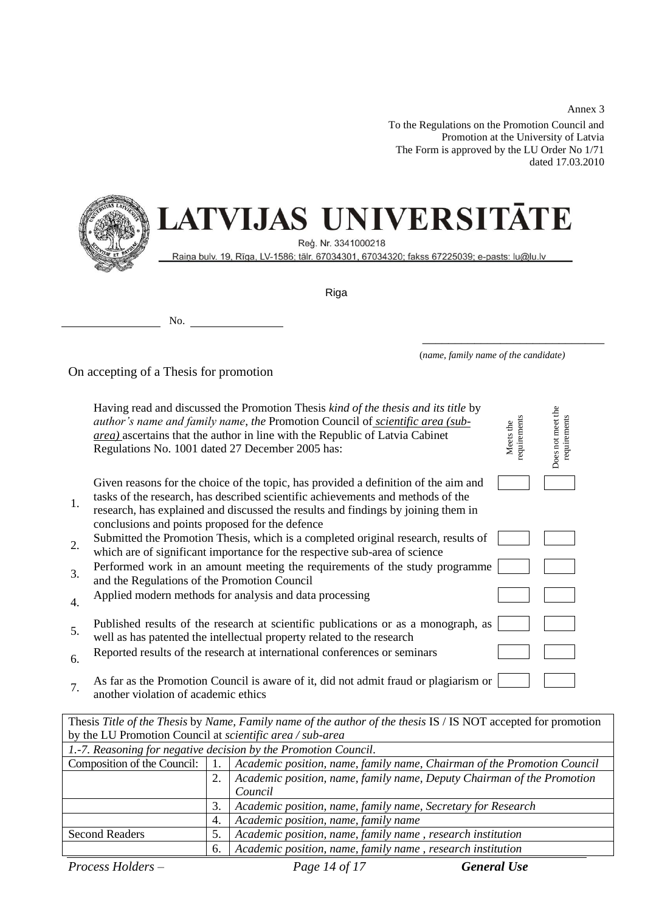To the Regulations on the Promotion Council and Promotion at the University of Latvia The Form is approved by the LU Order No 1/71 dated 17.03.2010



# LATVIJAS UNIVERSITĀTE

Reģ. Nr. 3341000218

Raiņa bulv. 19, Rīga, LV-1586; tālr. 67034301, 67034320; fakss 67225039; e-pasts: lu@lu.lv

Riga

No.

|  |  | (name, family name of the candidate) |
|--|--|--------------------------------------|
|  |  |                                      |

\_\_\_\_\_\_\_\_\_\_\_\_\_\_\_\_\_\_\_\_\_\_\_\_\_\_\_\_

On accepting of a Thesis for promotion

|    | Having read and discussed the Promotion Thesis kind of the thesis and its title by<br><i>author's name and family name, the Promotion Council of scientific area (sub-</i><br><i>area</i> ) ascertains that the author in line with the Republic of Latvia Cabinet<br>Regulations No. 1001 dated 27 December 2005 has: | requirements<br>Meets the | Does not meet the<br>requirements |
|----|------------------------------------------------------------------------------------------------------------------------------------------------------------------------------------------------------------------------------------------------------------------------------------------------------------------------|---------------------------|-----------------------------------|
| 1. | Given reasons for the choice of the topic, has provided a definition of the aim and<br>tasks of the research, has described scientific achievements and methods of the<br>research, has explained and discussed the results and findings by joining them in<br>conclusions and points proposed for the defence         |                           |                                   |
| 2. | Submitted the Promotion Thesis, which is a completed original research, results of<br>which are of significant importance for the respective sub-area of science                                                                                                                                                       |                           |                                   |
| 3. | Performed work in an amount meeting the requirements of the study programme<br>and the Regulations of the Promotion Council                                                                                                                                                                                            |                           |                                   |
| 4. | Applied modern methods for analysis and data processing                                                                                                                                                                                                                                                                |                           |                                   |
| 5. | Published results of the research at scientific publications or as a monograph, as<br>well as has patented the intellectual property related to the research                                                                                                                                                           |                           |                                   |
| 6. | Reported results of the research at international conferences or seminars                                                                                                                                                                                                                                              |                           |                                   |
| 7. | As far as the Promotion Council is aware of it, did not admit fraud or plagiarism or<br>another violation of academic ethics                                                                                                                                                                                           |                           |                                   |

| Thesis Title of the Thesis by Name, Family name of the author of the thesis IS / IS NOT accepted for promotion |    |                                                                         |  |  |
|----------------------------------------------------------------------------------------------------------------|----|-------------------------------------------------------------------------|--|--|
| by the LU Promotion Council at scientific area / sub-area                                                      |    |                                                                         |  |  |
| 1.-7. Reasoning for negative decision by the Promotion Council.                                                |    |                                                                         |  |  |
| Composition of the Council: $\vert$ 1.                                                                         |    | Academic position, name, family name, Chairman of the Promotion Council |  |  |
|                                                                                                                | 2. | Academic position, name, family name, Deputy Chairman of the Promotion  |  |  |
|                                                                                                                |    | Council                                                                 |  |  |
|                                                                                                                | 3. | Academic position, name, family name, Secretary for Research            |  |  |
|                                                                                                                | 4. | Academic position, name, family name                                    |  |  |
| <b>Second Readers</b>                                                                                          | 5. | Academic position, name, family name, research institution              |  |  |
|                                                                                                                | 6. | Academic position, name, family name, research institution              |  |  |

*Process Holders – Page 14 of 17 General Use*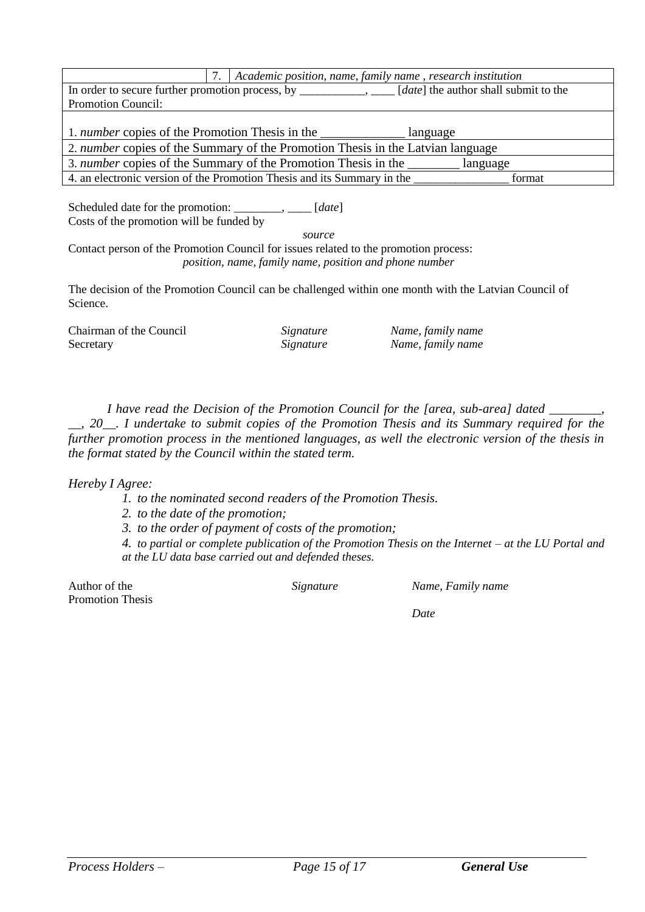|                                                                                                           |  | Academic position, name, family name, research institution              |        |  |
|-----------------------------------------------------------------------------------------------------------|--|-------------------------------------------------------------------------|--------|--|
| In order to secure further promotion process, by ___________, _____ [date] the author shall submit to the |  |                                                                         |        |  |
| Promotion Council:                                                                                        |  |                                                                         |        |  |
|                                                                                                           |  |                                                                         |        |  |
| 1. <i>number</i> copies of the Promotion Thesis in the<br>language                                        |  |                                                                         |        |  |
| 2. <i>number</i> copies of the Summary of the Promotion Thesis in the Latvian language                    |  |                                                                         |        |  |
| 3. <i>number</i> copies of the Summary of the Promotion Thesis in the<br>language                         |  |                                                                         |        |  |
|                                                                                                           |  | 4. an electronic version of the Promotion Thesis and its Summary in the | format |  |

Scheduled date for the promotion: \_\_\_\_\_\_\_\_, \_\_\_\_ [*date*] Costs of the promotion will be funded by

*source*

Contact person of the Promotion Council for issues related to the promotion process: *position, name, family name, position and phone number*

The decision of the Promotion Council can be challenged within one month with the Latvian Council of Science.

| Chairman of the Council | Signature | Name, family name |
|-------------------------|-----------|-------------------|
| Secretary               | Signature | Name, family name |

*I have read the Decision of the Promotion Council for the [area, sub-area] dated* 

*\_\_, 20\_\_. I undertake to submit copies of the Promotion Thesis and its Summary required for the further promotion process in the mentioned languages, as well the electronic version of the thesis in the format stated by the Council within the stated term.* 

*Hereby I Agree:*

- *1. to the nominated second readers of the Promotion Thesis.*
- *2. to the date of the promotion;*
- *3. to the order of payment of costs of the promotion;*

*4. to partial or complete publication of the Promotion Thesis on the Internet – at the LU Portal and at the LU data base carried out and defended theses.*

Author of the Promotion Thesis

*Signature Name, Family name*

*Date*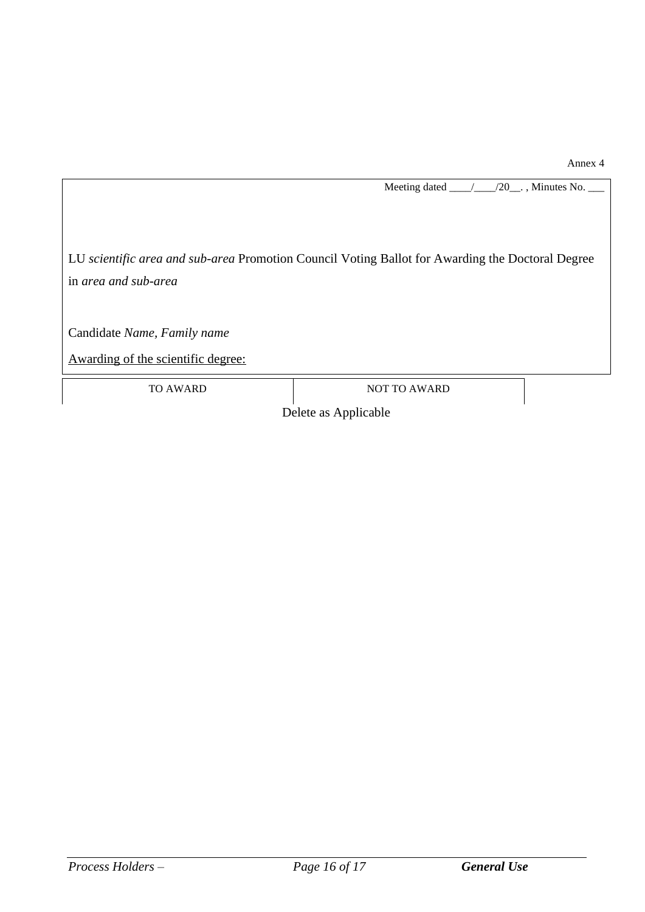Meeting dated \_\_\_\_/\_\_\_\_\_/20\_\_\_., Minutes No.

LU *scientific area and sub-area* Promotion Council Voting Ballot for Awarding the Doctoral Degree in *area and sub-area*

Candidate *Name, Family name*

Awarding of the scientific degree:

TO AWARD NOT TO AWARD

Delete as Applicable